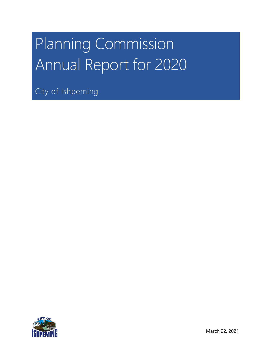# Planning Commission Annual Report for 2020

City of Ishpeming

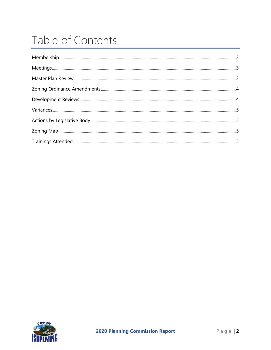# Table of Contents

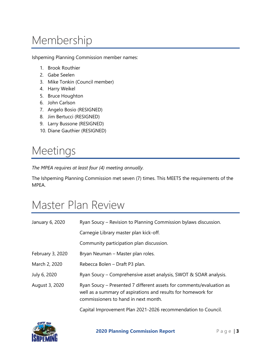## <span id="page-2-0"></span>Membership

Ishpeming Planning Commission member names:

- 1. Brook Routhier
- 2. Gabe Seelen
- 3. Mike Tonkin (Council member)
- 4. Harry Weikel
- 5. Bruce Houghton
- 6. John Carlson
- 7. Angelo Bosio (RESIGNED)
- 8. Jim Bertucci (RESIGNED)
- 9. Larry Bussone (RESIGNED)
- 10. Diane Gauthier (RESIGNED)

#### <span id="page-2-1"></span>Meetings

*The MPEA requires at least four (4) meeting annually.*

The Ishpeming Planning Commission met seven (7) times. This MEETS the requirements of the MPEA.

#### <span id="page-2-2"></span>Master Plan Review

| January 6, 2020  | Ryan Soucy – Revision to Planning Commission bylaws discussion.                                                                                                               |
|------------------|-------------------------------------------------------------------------------------------------------------------------------------------------------------------------------|
|                  | Carnegie Library master plan kick-off.                                                                                                                                        |
|                  | Community participation plan discussion.                                                                                                                                      |
| February 3, 2020 | Bryan Neuman – Master plan roles.                                                                                                                                             |
| March 2, 2020    | Rebecca Bolen - Draft P3 plan.                                                                                                                                                |
| July 6, 2020     | Ryan Soucy - Comprehensive asset analysis, SWOT & SOAR analysis.                                                                                                              |
| August 3, 2020   | Ryan Soucy – Presented 7 different assets for comments/evaluation as<br>well as a summary of aspirations and results for homework for<br>commissioners to hand in next month. |

Capital Improvement Plan 2021-2026 recommendation to Council.

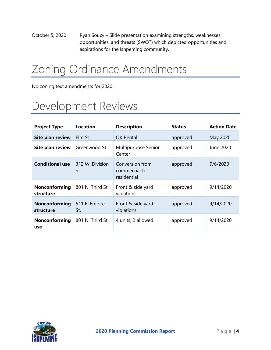October 5, 2020 Ryan Soucy – Slide presentation examining strengths, weaknesses, opportunities, and threats (SWOT) which depicted opportunities and aspirations for the Ishpeming community.

## <span id="page-3-0"></span>Zoning Ordinance Amendments

<span id="page-3-1"></span>No zoning text amendments for 2020.

#### Development Reviews

| <b>Project Type</b>        | <b>Location</b>        | <b>Description</b>                              | <b>Status</b> | <b>Action Date</b> |
|----------------------------|------------------------|-------------------------------------------------|---------------|--------------------|
| <b>Site plan review</b>    | Elm St.                | <b>OK Rental</b>                                | approved      | May 2020           |
| Site plan review           | Greenwood St.          | Multipurpose Senior<br>Center                   | approved      | June 2020          |
| <b>Conditional use</b>     | 312 W. Division<br>St. | Conversion from<br>commercial to<br>residential | approved      | 7/6/2020           |
| Nonconforming<br>structure | 801 N. Third St.       | Front & side yard<br>violations                 | approved      | 9/14/2020          |
| Nonconforming<br>structure | 511 E. Empire<br>St.   | Front & side yard<br>violations                 | approved      | 9/14/2020          |
| Nonconforming<br>use       | 801 N. Third St.       | 4 units; 2 allowed                              | approved      | 9/14/2020          |

<span id="page-3-2"></span>